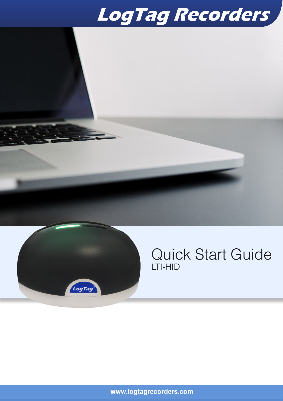# LogTag Recorders



### Quick Start Guide LTI-HID

**www.logtagrecorders.com**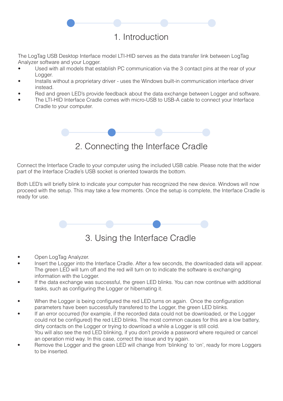#### 1. Introduction

The LogTag USB Desktop Interface model LTI-HID serves as the data transfer link between LogTag Analyzer software and your Logger.

- Used with all models that establish PC communication via the 3 contact pins at the rear of your Logger.
- Installs without a proprietary driver uses the Windows built-in communication interface driver instead.
- Red and green LED's provide feedback about the data exchange between Logger and software.
- The LTI-HID Interface Cradle comes with micro-USB to USB-A cable to connect your Interface Cradle to your computer.



#### 2. Connecting the Interface Cradle

Connect the Interface Cradle to your computer using the included USB cable. Please note that the wider part of the Interface Cradle's USB socket is oriented towards the bottom.

Both LED's will briefly blink to indicate your computer has recognized the new device. Windows will now proceed with the setup. This may take a few moments. Once the setup is complete, the Interface Cradle is ready for use.



- Open LogTag Analyzer.
- Insert the Logger into the Interface Cradle. After a few seconds, the downloaded data will appear. The green LED will turn off and the red will turn on to indicate the software is exchanging information with the Logger.
- If the data exchange was successful, the green LED blinks. You can now continue with additional tasks, such as configuring the Logger or hibernating it.
- When the Logger is being configured the red LED turns on again. Once the configuration parameters have been successfully transfered to the Logger, the green LED blinks.
- If an error occurred (for example, if the recorded data could not be downloaded, or the Logger could not be configured) the red LED blinks. The most common causes for this are a low battery, dirty contacts on the Logger or trying to download a while a Logger is still cold. You will also see the red LED blinking, if you don't provide a password where required or cancel an operation mid way. In this case, correct the issue and try again.
- Remove the Logger and the green LED will change from 'blinking' to 'on', ready for more Loggers to be inserted.